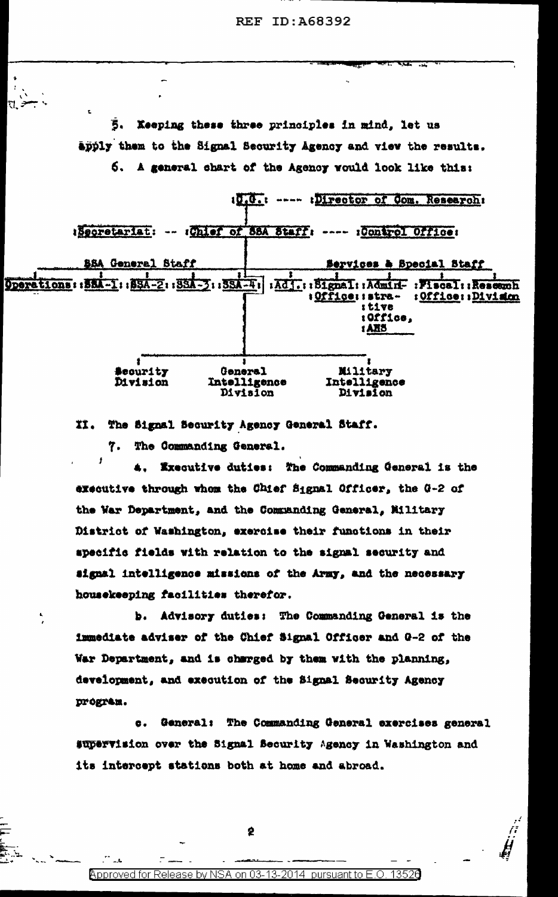Keeping these three principles in mind, let us Ŝ. apply them to the Signal Security Agency and view the results. 6. A general chart of the Agency would look like this:

10.0.: ---- :Director of Com. Research: ISecretariat: -- (Chief of 88A Staff: ---- :Control Office: **SSA General Staff Services & Special Btaff** Stons: : 58A-1: : 58A-2: : 38A-3: : 38A-4: : : Adj.: : 51gna1: : Admirf-: Fiscal **Opera TRANSWHT** : Office: : stra-: Office: : Division i tive : Office. 1 ANS **Security** General Military Intelligence Division Intelligence Division Division

II. The Signal Security Agency General Staff.

7. The Commanding General.

11

Executive duties: The Commanding General is the executive through whom the Chief Signal Officer, the G-2 of the War Department, and the Commanding General, Military District of Washington, exercise their functions in their specific fields with relation to the signal security and signal intelligence missions of the Army, and the necessary housekeeping facilities therefor.

b. Advisory duties: The Commanding General is the immediate adviser of the Chief Signal Officer and G-2 of the War Department, and is charged by them with the planning, development, and execution of the Signal Security Agency program.

General: The Commanding General exercises general  $\bullet$ . supervision over the Signal Security Agency in Washington and its intercept stations both at home and abroad.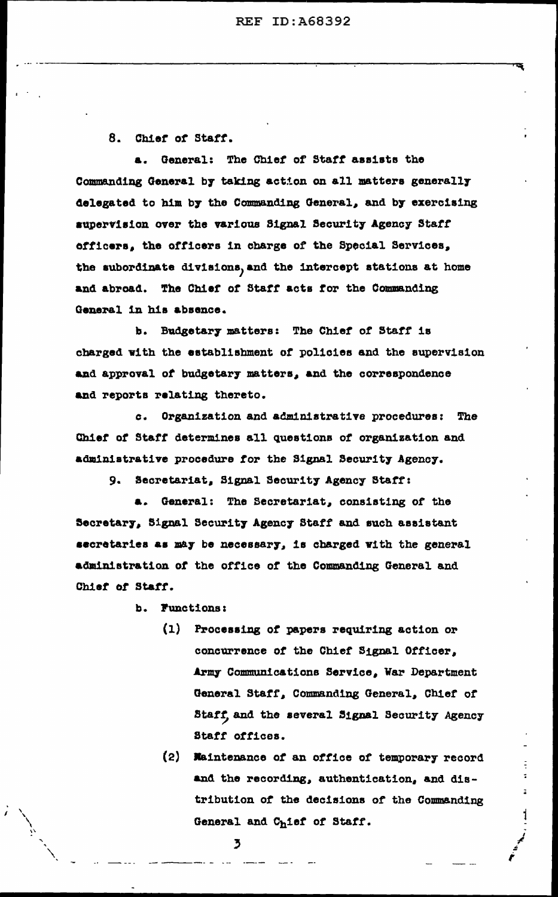8. Chief of Staff.

a. General: The Chief of Staff assists the Commanding General by taking action on all matters generally delegated to him by the Commanding General, and by exercising supervision over the various Signal Security Agency Staff officers, the officers in charge of the Special Services, the subordinate divisions, and the intercept stations at home and abroad. The Chief of Staff acts for the Commanding General in his absence.

b. Budgetary matters: The Chief of Staff is charged with the establishment of policies and the supervision and approval of budgetary matters, and the correspondence and reports relating thereto.

c. Organization and administrative procedures: The Chief of Staff determines all questions of organization and administrative procedure for the Signal Security Agency.

9. Secretariat, Signal Security Agency Staff:

a. General: The Secretariat, consisting of the Secretary, Signal Security Agency Staff and such assistant secretaries as may be necessary, is charged with the general administration of the office of the Commanding General and Chief of Staff.

b. Functions:

- (1) Processing of papers requiring action or concurrence of the Chief Signal Officer, Army Communications Service, War Department General Staff, Commanding General, Chief of Staff, and the several Signal Security Agency Staff offices.
- (2) Maintenance of an office of temporary record and the recording, authentication, and distribution of the decisions of the Commanding General and Chief of Staff.

Ť,

ž,

 $\mathbf{I}$ 

 $\overline{\mathbf{3}}$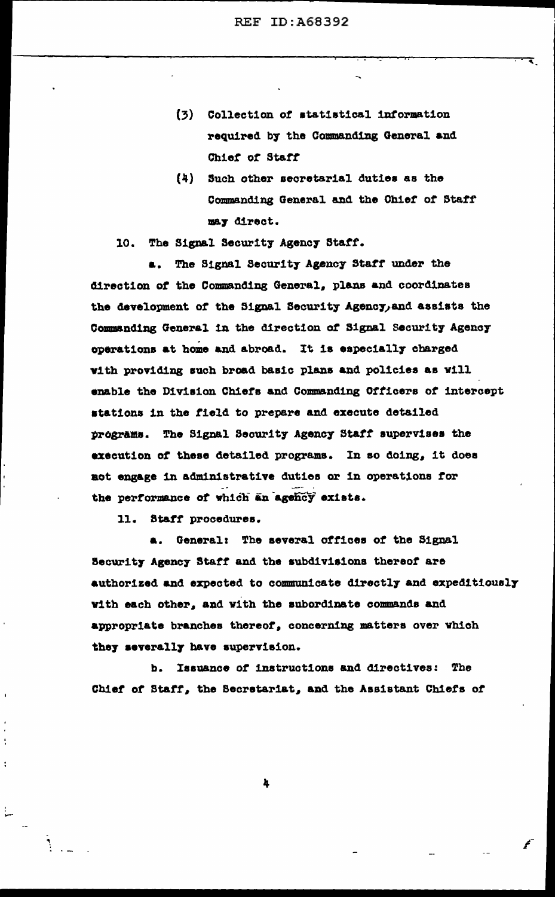- (3) Collection of statistical information required by the Commanding General and Chief of Staff
- (4) Such other secretarial duties as the Commanding General and the Chief of Staff may direct.

## 10. The Signal Security Agency Staff.

The Signal Security Agency Staff under the a., direction of the Commanding General, plans and coordinates the development of the Signal Security Agency, and assists the Commanding General in the direction of Signal Security Agency operations at home and abroad. It is especially charged with providing such broad basic plans and policies as will enable the Division Chiefs and Commanding Officers of intercept stations in the field to prepare and execute detailed programs. The Signal Security Agency Staff supervises the execution of these detailed programs. In so doing, it does not engage in administrative duties or in operations for the performance of which an agency exists.

11. Staff procedures.

a. General: The several offices of the Signal Security Agency Staff and the subdivisions thereof are authorized and expected to communicate directly and expeditiously with each other, and with the subordinate commands and appropriate branches thereof, concerning matters over which they severally have supervision.

b. Issuance of instructions and directives: The Chief of Staff, the Secretariat, and the Assistant Chiefs of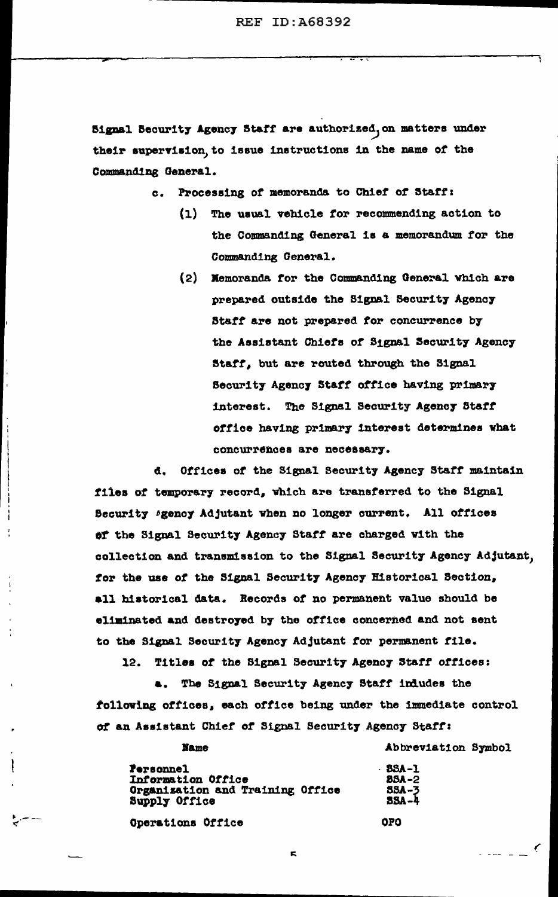Signal Security Agency Staff are authorized, on matters under their supervision, to issue instructions in the name of the Commanding General.

c. Processing of memoranda to Chief of Staff:

- (1) The usual vehicle for recommending action to the Commanding General is a memorandum for the Commanding General.
- (2) Memoranda for the Commanding General which are prepared outside the Signal Security Agency Staff are not prepared for concurrence by the Assistant Chiefs of Signal Security Agency Staff, but are routed through the Signal Security Agency Staff office having primary interest. The Signal Security Agency Staff office having primary interest determines what concurrences are necessary.

đ. Offices of the Signal Security Agency Staff maintain files of temporary record, which are transferred to the Signal Becurity Agency Adjutant when no longer current. All offices of the Signal Security Agency Staff are charged with the collection and transmission to the Signal Security Agency Adjutant, for the use of the Signal Security Agency Historical Section, all historical data. Records of no permanent value should be eliminated and destroyed by the office concerned and not sent to the Signal Security Agency Adjutant for permanent file.

Titles of the Signal Security Agency Staff offices: 12.

a. The Signal Security Agency Staff indudes the following offices, each office being under the immediate control of an Assistant Chief of Signal Security Agency Staff:

| <b>Personnel</b>                                  | . 8 |
|---------------------------------------------------|-----|
| Information Office                                | 2   |
| Organization and Training Office<br>Supply Office | 8   |

Operations Office

**Name** 

**SA-1 JSA –2** 

Abbreviation Symbol

**OPO** 

É.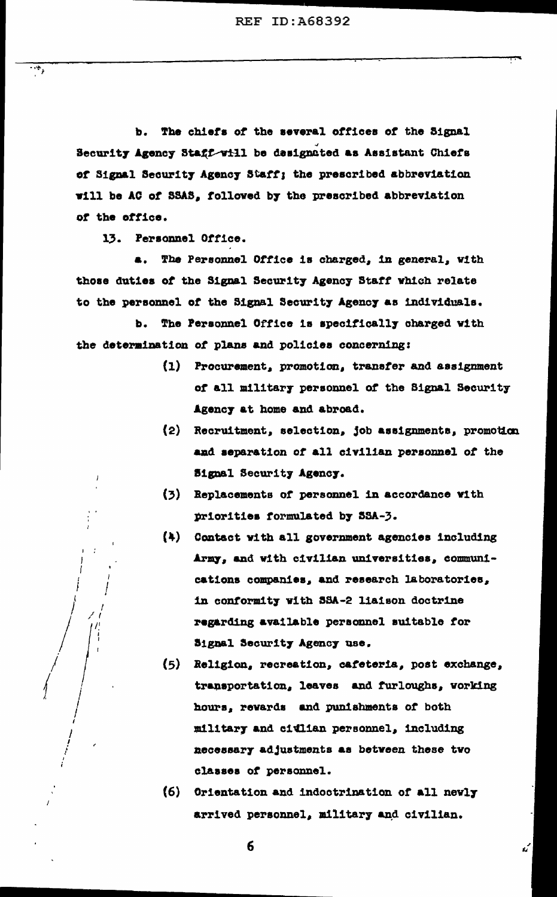The chiefs of the several offices of the Signal b. Security Agency Staff will be designated as Assistant Chiefs of Signal Security Agency Staff; the prescribed abbreviation will be AC of SSAS, followed by the prescribed abbreviation of the office.

13. Personnel Office.

 $\cdot$  .

The Personnel Office is charged, in general, with  $\blacksquare$ . those duties of the Signal Security Agency Staff which relate to the personnel of the Signal Security Agency as individuals.

The Personnel Office is specifically charged with b. the determination of plans and policies concerning:

- (1) Procurement, promotion, transfer and assignment of all military personnel of the Signal Security Agency at home and abroad.
- (2) Recruitment, selection, job assignments, promotion and separation of all civilian personnel of the **Signal Security Agency.**
- (3) Replacements of personnel in accordance with priorities formulated by SSA-3.
- (4) Contact with all government agencies including Army, and with civilian universities, communications companies, and research laboratories, in conformity with SSA-2 liaison doctrine regarding available personnel suitable for Signal Security Agency use.
- (5) Religion, recreation, cafeteria, post exchange, transportation, leaves and furloughs, working hours, revards and punishments of both military and citlian personnel, including necessary adjustments as between these two classes of personnel.
- (6) Orientation and indoctrination of all nevly arrived personnel, military and civilian.

ú

 $6\phantom{1}$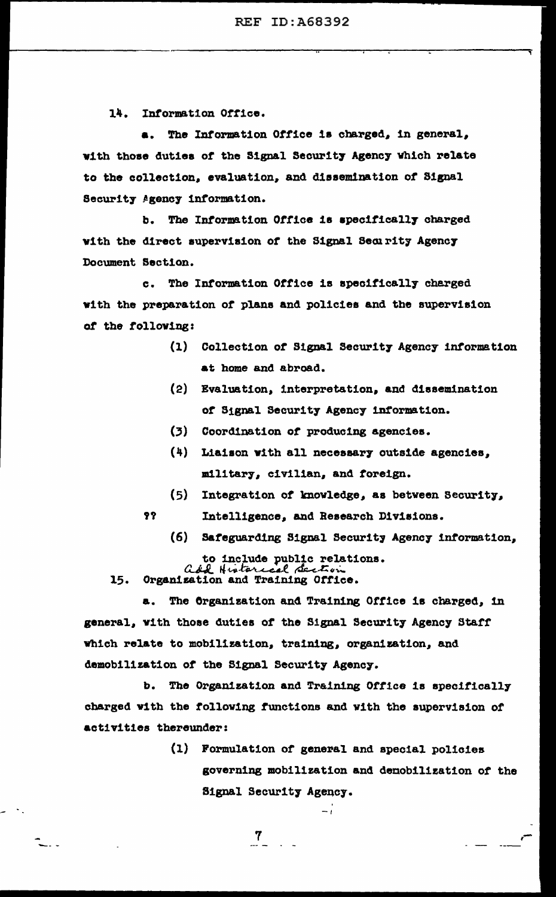14. Information Office.

The Information Office is charged, in general, with those duties of the Signal Security Agency which relate to the collection, evaluation, and dissemination of Signal Security Agency information.

The Information Office is specifically charged b. with the direct supervision of the Signal Security Agency Document Section.

The Information Office is specifically charged  $\mathbf{c}$ . with the preparation of plans and policies and the supervision of the following:

- (1) Collection of Signal Security Agency information at home and abroad.
- (2) Evaluation, interpretation, and dissemination of Signal Security Agency information.
- $(3)$ Coordination of producing agencies.
- (4) Liaison with all necessary outside agencies, military, civilian, and foreign.
- $(5)$ Integration of knowledge, as between Security,
- 92 Intelligence, and Research Divisions.
	- (6) Safeguarding Signal Security Agency information,

to include public relations.<br>add Historical decline 15. Organization and Training Office.

 $\overline{7}$ 

 $\sim$  .

The Organization and Training Office is charged, in a. general, with those duties of the Signal Security Agency Staff which relate to mobilization, training, organization, and demobilization of the Signal Security Agency.

The Organization and Training Office is specifically b. charged with the following functions and with the supervision of activities thereunder:

> (1) Formulation of general and special policies governing mobilization and demobilization of the Signal Security Agency.

> > $-1$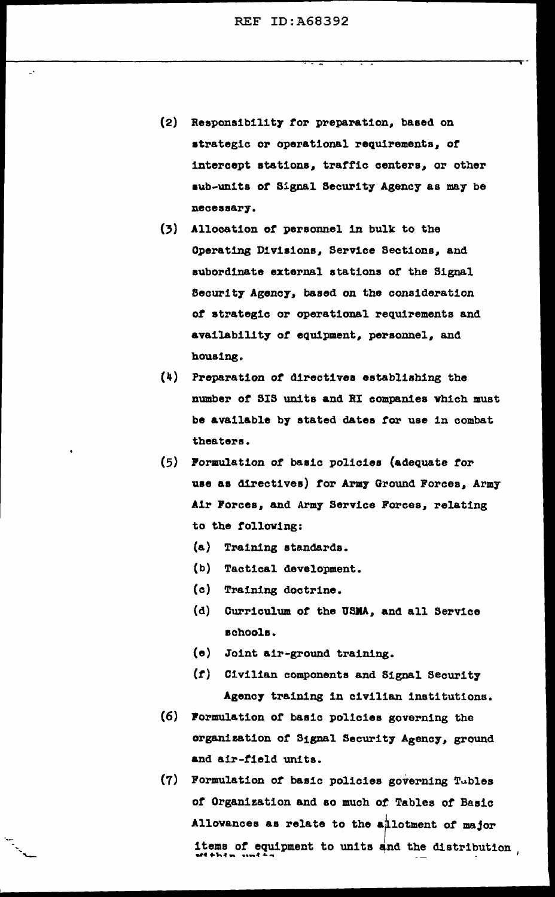- (2) Reapona1b111t7 tor preparation, baaed on atrategic or operational requirements, or intercept atat1ona, traffic centers, or other aub~un1ts *or* Signal Security Agency as may be necessary.
- (3) Allocation of personnel in bulk to the Operating D1v1a1one, Service Sections, and subordinate external stations or the Signal Security Agency, based on the consideration *ot* strategic or operational requirements and availability of equipment, personnel, and housing.
- (4) Preparation *ot* directives eatabliahing the number or SIS units and RI companies vhieh must be available by stated dates for use in combat theaters.
- (5) Pormulation of basic policies (adequate tor use as directives) for Army Ground Forces, Army Air Forces, and Army Service Forces, relating to the tollov1ng:
	- (a) Training standards.
	- (b) Tactical development.
	- (c) Training doctrine.

-..... -

- (d) Curriculum or the USMA, and all Service schools.
- (e) Joint air-ground training.
- (r) Civilian components and Signal Securit7 Agency training in civilian institutions.
- (6} Pormulation of basic policies governing the organization of Signal Security Agency, ground and a1r-t1eld units.
- $(7)$  Formulation of basic policies governing Tubles or Organization and ao much or. Tables or Basic Allowances as relate to the allotment of major items of equipment to units and the distribution .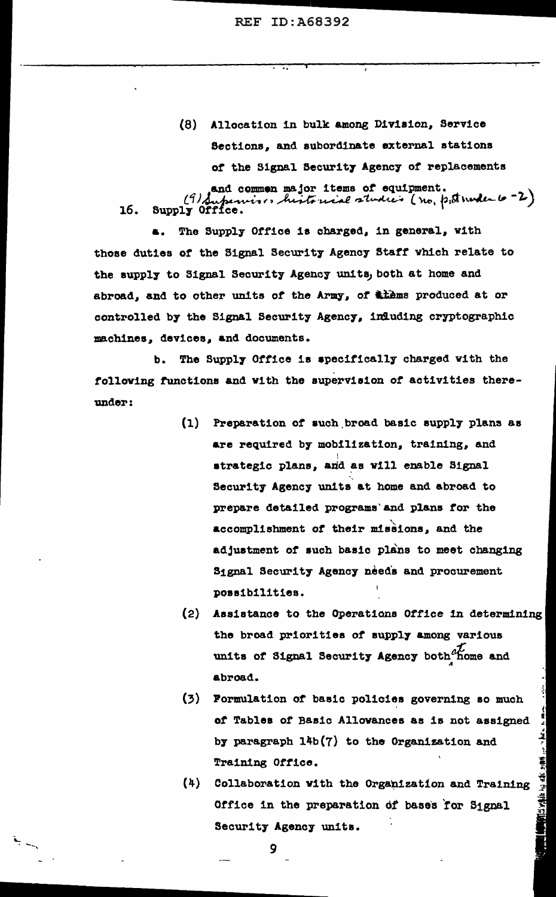(8) Allocation in bulk among Division, Service Sections, and subordinate external stations of the Signal Security Agency of replacements

and common major items of equipment.<br>16. Supply Office.

a. The Supply Office is charged, in general, with those duties of the Signal Security Agency Staff which relate to the supply to Signal Security Agency units, both at home and abroad, and to other units of the Army, of thems produced at or controlled by the Signal Security Agency, influding cryptographic machines, devices, and documents.

b. The Supply Office is specifically charged with the following functions and with the supervision of activities thereunder:

- $(1)$ Preparation of such broad basic supply plans as are required by mobilization, training, and strategic plans, and as will enable Signal Security Agency units at home and abroad to prepare detailed programs and plans for the accomplishment of their missions, and the adjustment of such basic plans to meet changing Signal Security Agency needs and procurement possibilities.
- (2) Assistance to the Operations Office in determining the broad priorities of supply among various units of Signal Security Agency both home and abroad.
- $(3)$ Formulation of basic policies governing so much of Tables of Basic Allowances as is not assigned by paragraph 14b(7) to the Organization and Training Office.
- $(4)$ Collaboration with the Organization and Training Office in the preparation of bases for Signal Security Agency units.

ester ite til till zine

9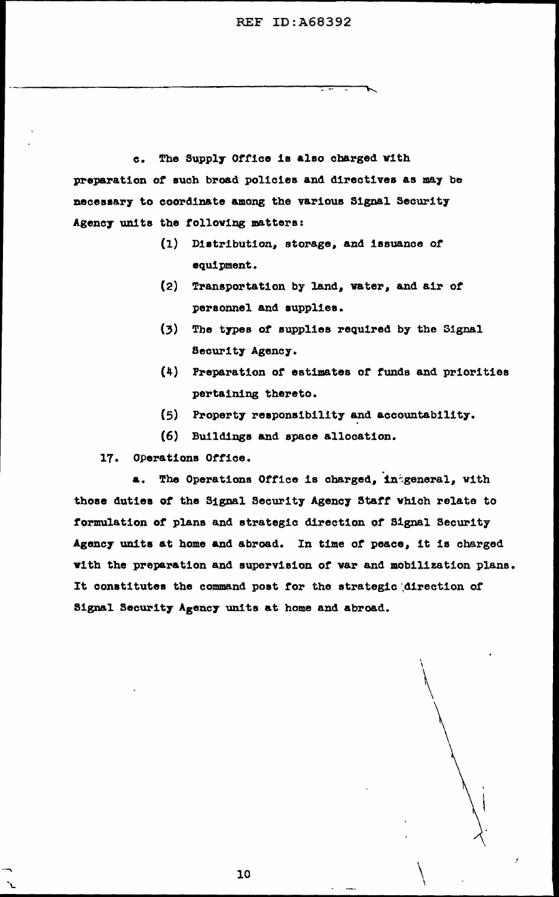$c_{\bullet}$ The Supply Office is also charged with preparation of such broad policies and directives as may be necessary to coordinate among the various Signal Security Agency units the following matters:

- (1) Distribution, storage, and issuance of equipment.
- (2) Transportation by land, water, and air of personnel and supplies.
- $(3)$ The types of supplies required by the Signal Security Agency.
- (4) Preparation of estimates of funds and priorities pertaining thereto.
- (5) Property responsibility and accountability.
- (6) Buildings and space allocation.

17. Operations Office.

a. The Operations Office is charged, intgeneral, with those duties of the Signal Security Agency Staff which relate to formulation of plans and strategic direction of Signal Security Agency units at home and abroad. In time of peace, it is charged with the preparation and supervision of war and mobilization plans. It constitutes the command post for the strategic direction of Signal Security Agency units at home and abroad.

10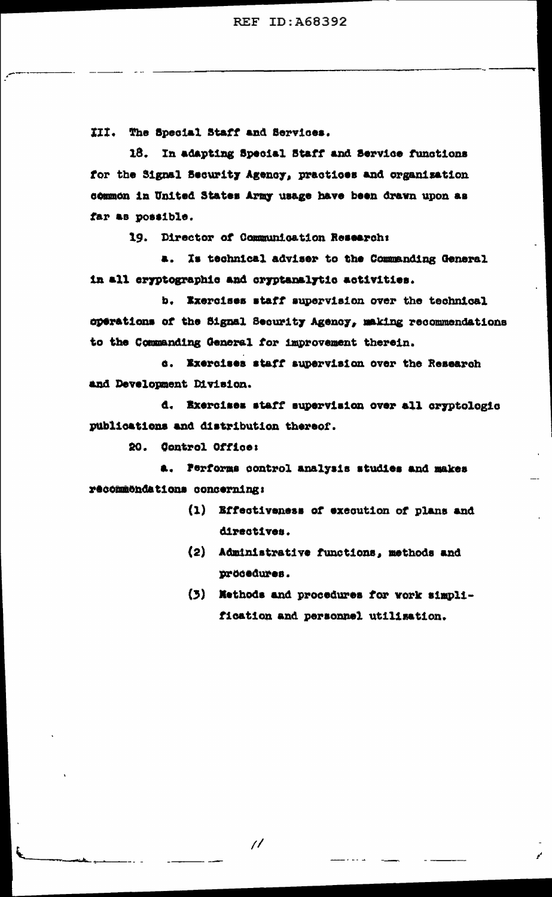III. The Special Staff and Services.

18. In adapting Special Staff and Service functions for the Signal Security Agency, practices and organization common in United States Army usage have been drawn upon as far as possible.

19. Director of Communication Research:

a. Is technical adviser to the Commanding General in all cryptographic and cryptanalytic activities.

b. Exercises staff supervision over the technical operations of the Signal Security Agency, making recommendations to the Commanding General for improvement therein.

d. Exercises staff supervision over the Research and Development Division.

d. Exercises staff supervision over all cryptologic publications and distribution thereof.

20. Control Office:

a. Performs control analysis studies and makes recommondations concerning:

- (1) Effectiveness of execution of plans and directives.
- (2) Administrative functions, methods and procedures.
- (3) Nethods and procedures for work simplification and personnel utilization.

 $\overline{\mu}$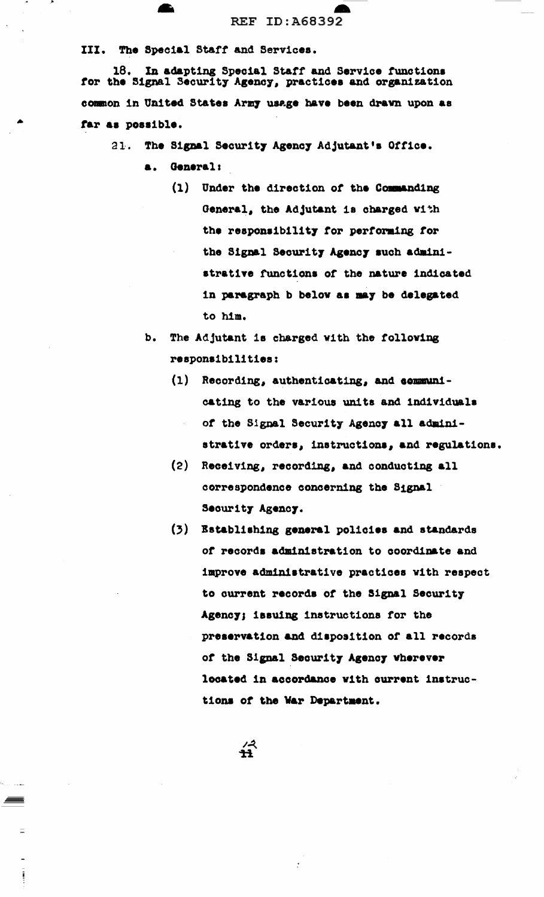III. The Special Staff and Services.

18. In adapting Special Staff and Service functions for the Signal Security Agency, practices and organization common in United States Army usage have been drawn upon as far as possible.

The Signal Security Agency Adjutant's Office.  $21.$ 

- a. General:
	- $(1)$ Under the direction of the Commanding General, the Adjutant is charged with the responsibility for performing for the Signal Security Agency such administrative functions of the nature indicated in paragraph b below as may be delegated to him.
- b. The Adjutant is charged with the following responsibilities:
	- $(1)$ Recording, authenticating, and communicating to the various units and individuals of the Signal Security Agency all administrative orders, instructions, and regulations.
	- $(2)$ Receiving, recording, and conducting all correspondence concerning the Signal Security Agency.
	- $(3)$ Establishing general policies and standards of records administration to coordinate and improve administrative practices with respect to current records of the Signal Security Agency; issuing instructions for the preservation and disposition of all records of the Signal Security Agency wherever located in accordance with current instructions of the War Department.

 $\hat{H}$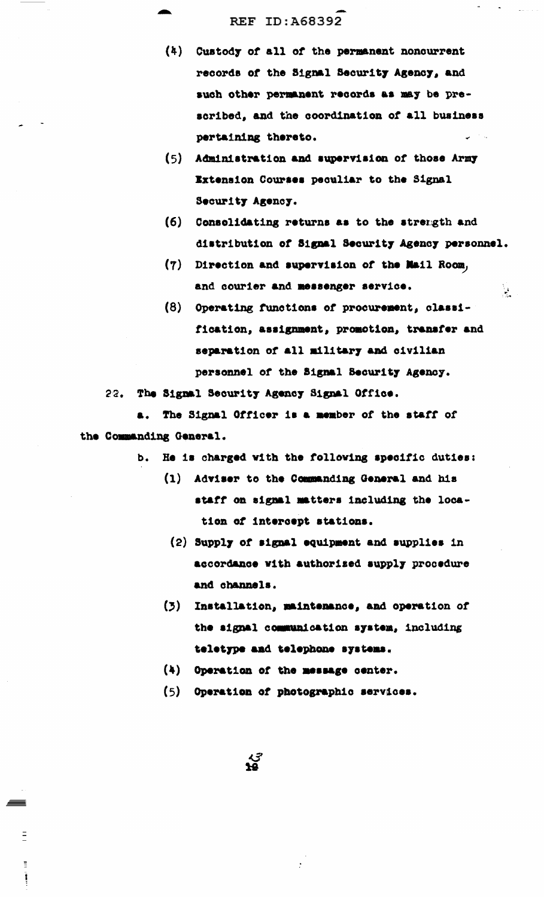- $(4)$ Custody of all of the permanent noncurrent records of the Signal Security Agency, and such other permanent records as may be prescribed, and the coordination of all business pertaining thereto.
- $(5)$ Administration and supervision of those Army Extension Courses peculiar to the Signal Security Agency.
- (6) Consolidating returns as to the strength and distribution of Signal Security Agency personnel.

 $\frac{1}{2}$ 

- (7) Direction and supervision of the Mail Room, and courier and messenger service.
- $(8)$ Operating functions of procurement, classification, assignment, promotion, transfer and separation of all military and civilian personnel of the Signal Security Agency.

22. The Signal Security Agency Signal Office.

The Signal Officer is a member of the staff of **a.** the Commanding General.

- He is charged with the following specific duties: b.
	- (1) Adviser to the Commanding General and his staff on signal matters including the location of intercept stations.
		- (2) Supply of signal equipment and supplies in accordance with authorized supply procedure and channels.
	- (3) Installation, maintenance, and operation of the signal communication system, including teletype and telephone systems.
	- (4) Operation of the message center.

्<br>१९

 $\Xi$ 

 $\mathbf{u}^{\mathbf{u}}_{\mathbf{u}}$  $\ddot{\phantom{a}}$  (5) Operation of photographic services.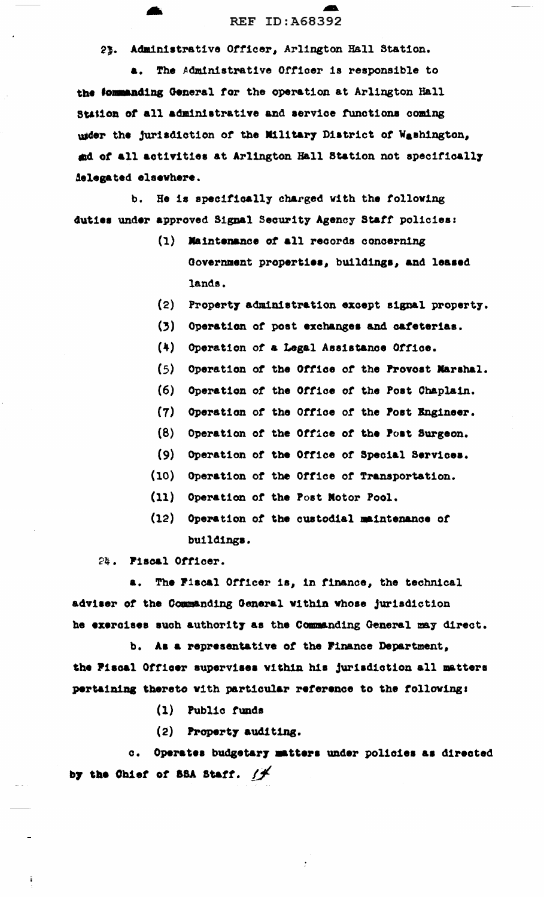23. Administrative Officer, Arlington Hall Station.

a. The Administrative Officer is responsible to the fommanding General for the operation at Arlington Hall Station of all administrative and service functions coming usder the jurisdiction of the Military District of Washington, and of all activities at Arlington Hall Station not specifically delegated elsewhere.

b. He is specifically charged with the following duties under approved Signal Security Agency Staff policies:

- (1) Maintenance of all records concerning Government properties, buildings, and leased lands.
- $(2)$ Property administration except signal property.
- $(3)$ Operation of post exchanges and cafeterias.
- $(4)$ Operation of a Legal Assistance Office.
- $(5)$ Operation of the Office of the Provost Marshal.
- $(6)$ Operation of the Office of the Post Chaplain.
- $(7)$ Operation of the Office of the Post Engineer.
- $(8)$ Operation of the Office of the Post Surgeon.
- Operation of the Office of Special Services.  $(9)$
- $(10)$ Operation of the Office of Transportation.
- $(11)$ Operation of the Post Notor Pool.
- $(12)$ Operation of the custodial maintenance of buildings.

24. Fiscal Officer.

 $\tilde{\textbf{i}}$ 

The Fiscal Officer is, in finance, the technical  $\blacksquare$ . adviser of the Commanding General within whose jurisdiction he exercises such authority as the Commanding General may direct.

b. As a representative of the Finance Department, the Fiscal Officer supervises within his jurisdiction all matters pertaining thereto with particular reference to the following:

- (1) Public funds
- (2) Property auditing.

c. Operates budgetary matters under policies as directed by the Chief of SSA Staff.  $/f$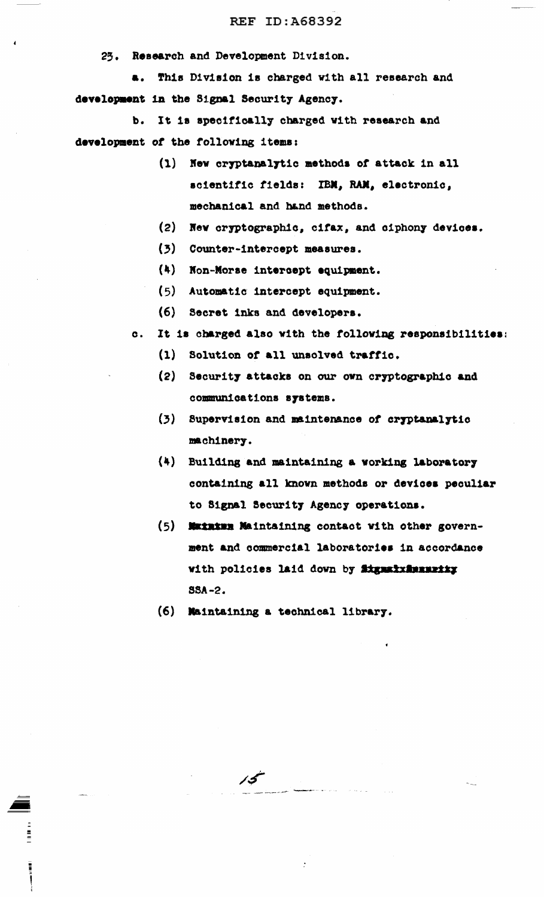25. Research and Development Division.

**a.** This Division is charged with all research and development in the Signal Security Agency.

b. It is specifically charged with research and development *ot* the following 1temas

- $(1)$  New cryptanalytic methods of attack in all scientific fields: IBM, RAM, electronic, mechanical and hand methods.
- (2) New cryptographic, cifax, and ciphony devices.
- (3) Counter-intercept measures.
- (4) Non-Morse intercept equipment.
- $(5)$  Automatic intercept equipment.
- (6) Secret 1nka and developera.
- c. It is charged also with the following responsibilities:
	- (l) Solution *ot* all unaolved trattic.
	- (2) Security attacks on our own cryptographic and communications systems.
	- (3) Supervision and maintenance of cryptanalytic maehiner7.
	- (4) Building and maintaining a working laborator7 containing all knovn methods or devices peculiar to Signal Security Agency operations.
	- $(5)$  **Maxaxma Maintaining contact with other govern**ment and commercial laboratories in accordance with policies laid down by **Signalishemential** SSA-2.
	- (6) lla1nta1ntng a teohnioal librar7.

/S